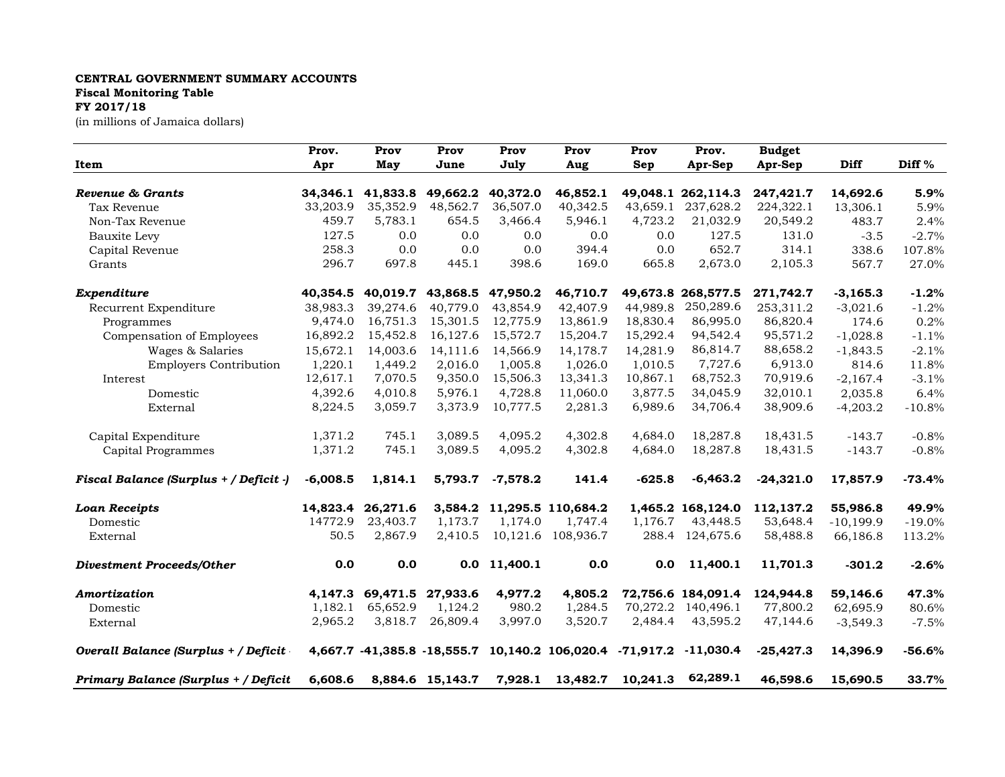## **CENTRAL GOVERNMENT SUMMARY ACCOUNTS Fiscal Monitoring Table FY 2017/18**

(in millions of Jamaica dollars)

| Item                                   | Prov.      | Prov                                   | Prov              | Prov                 | Prov                                                               | Prov     | Prov.                           | <b>Budget</b> |                      |          |
|----------------------------------------|------------|----------------------------------------|-------------------|----------------------|--------------------------------------------------------------------|----------|---------------------------------|---------------|----------------------|----------|
|                                        | Apr        | May                                    | June              | July                 | Aug                                                                | Sep      | Apr-Sep                         | Apr-Sep       | Diff                 | Diff %   |
| Revenue & Grants                       |            |                                        |                   |                      |                                                                    |          |                                 | 247,421.7     |                      | 5.9%     |
| Tax Revenue                            | 33,203.9   | 34,346.1 41,833.8 49,662.2<br>35,352.9 | 48,562.7          | 40,372.0<br>36,507.0 | 46,852.1<br>40,342.5                                               | 43,659.1 | 49,048.1 262,114.3<br>237,628.2 | 224,322.1     | 14,692.6<br>13,306.1 | 5.9%     |
| Non-Tax Revenue                        | 459.7      | 5,783.1                                | 654.5             | 3,466.4              | 5,946.1                                                            | 4,723.2  | 21,032.9                        | 20,549.2      | 483.7                | 2.4%     |
|                                        | 127.5      | 0.0                                    | 0.0               | 0.0                  | 0.0                                                                | 0.0      | 127.5                           | 131.0         | $-3.5$               | $-2.7%$  |
| Bauxite Levy                           | 258.3      | 0.0                                    | 0.0               | 0.0                  | 394.4                                                              |          | 652.7                           | 314.1         |                      |          |
| Capital Revenue                        |            |                                        |                   |                      |                                                                    | 0.0      |                                 |               | 338.6                | 107.8%   |
| Grants                                 | 296.7      | 697.8                                  | 445.1             | 398.6                | 169.0                                                              | 665.8    | 2,673.0                         | 2,105.3       | 567.7                | 27.0%    |
| Expenditure                            | 40,354.5   |                                        | 40,019.7 43,868.5 | 47,950.2             | 46,710.7                                                           |          | 49,673.8 268,577.5              | 271,742.7     | $-3,165.3$           | $-1.2%$  |
| Recurrent Expenditure                  | 38,983.3   | 39,274.6                               | 40,779.0          | 43,854.9             | 42,407.9                                                           | 44,989.8 | 250,289.6                       | 253,311.2     | $-3,021.6$           | $-1.2%$  |
| Programmes                             | 9,474.0    | 16,751.3                               | 15,301.5          | 12,775.9             | 13,861.9                                                           | 18,830.4 | 86,995.0                        | 86,820.4      | 174.6                | 0.2%     |
| Compensation of Employees              | 16,892.2   | 15,452.8                               | 16,127.6          | 15,572.7             | 15,204.7                                                           | 15,292.4 | 94,542.4                        | 95,571.2      | $-1,028.8$           | $-1.1%$  |
| Wages & Salaries                       | 15,672.1   | 14,003.6                               | 14,111.6          | 14,566.9             | 14,178.7                                                           | 14,281.9 | 86,814.7                        | 88,658.2      | $-1,843.5$           | $-2.1%$  |
| <b>Employers Contribution</b>          | 1,220.1    | 1,449.2                                | 2.016.0           | 1,005.8              | 1,026.0                                                            | 1,010.5  | 7,727.6                         | 6,913.0       | 814.6                | 11.8%    |
| Interest                               | 12,617.1   | 7,070.5                                | 9,350.0           | 15,506.3             | 13,341.3                                                           | 10,867.1 | 68,752.3                        | 70,919.6      | $-2,167.4$           | $-3.1%$  |
| Domestic                               | 4,392.6    | 4,010.8                                | 5,976.1           | 4,728.8              | 11,060.0                                                           | 3,877.5  | 34,045.9                        | 32,010.1      | 2,035.8              | 6.4%     |
| External                               | 8,224.5    | 3,059.7                                | 3,373.9           | 10,777.5             | 2,281.3                                                            | 6,989.6  | 34,706.4                        | 38,909.6      | $-4,203.2$           | $-10.8%$ |
| Capital Expenditure                    | 1,371.2    | 745.1                                  | 3,089.5           | 4,095.2              | 4,302.8                                                            | 4,684.0  | 18,287.8                        | 18,431.5      | $-143.7$             | $-0.8%$  |
| Capital Programmes                     | 1,371.2    | 745.1                                  | 3,089.5           | 4,095.2              | 4,302.8                                                            | 4,684.0  | 18,287.8                        | 18,431.5      | $-143.7$             | $-0.8%$  |
| Fiscal Balance (Surplus + / Deficit -) | $-6,008.5$ | 1,814.1                                | 5,793.7           | $-7,578.2$           | 141.4                                                              | $-625.8$ | $-6,463.2$                      | $-24,321.0$   | 17,857.9             | $-73.4%$ |
| <b>Loan Receipts</b>                   | 14,823.4   | 26,271.6                               | 3,584.2           |                      | 11,295.5 110,684.2                                                 |          | 1,465.2 168,124.0               | 112,137.2     | 55,986.8             | 49.9%    |
| Domestic                               | 14772.9    | 23,403.7                               | 1,173.7           | 1,174.0              | 1,747.4                                                            | 1,176.7  | 43,448.5                        | 53,648.4      | $-10,199.9$          | $-19.0%$ |
| External                               | 50.5       | 2,867.9                                | 2,410.5           |                      | 10,121.6 108,936.7                                                 | 288.4    | 124,675.6                       | 58,488.8      | 66,186.8             | 113.2%   |
| <b>Divestment Proceeds/Other</b>       | 0.0        | 0.0                                    | 0.0               | 11,400.1             | 0.0                                                                | 0.0      | 11,400.1                        | 11,701.3      | $-301.2$             | $-2.6%$  |
| Amortization                           | 4,147.3    |                                        | 69,471.5 27,933.6 | 4,977.2              | 4,805.2                                                            |          | 72,756.6 184,091.4              | 124,944.8     | 59,146.6             | 47.3%    |
| Domestic                               | 1,182.1    | 65,652.9                               | 1,124.2           | 980.2                | 1,284.5                                                            | 70,272.2 | 140,496.1                       | 77,800.2      | 62,695.9             | 80.6%    |
| External                               | 2,965.2    | 3,818.7                                | 26,809.4          | 3,997.0              | 3,520.7                                                            | 2,484.4  | 43,595.2                        | 47,144.6      | $-3,549.3$           | $-7.5%$  |
| Overall Balance (Surplus + / Deficit   |            |                                        |                   |                      | 4,667.7 -41,385.8 -18,555.7 10,140.2 106,020.4 -71,917.2 -11,030.4 |          |                                 | $-25,427.3$   | 14,396.9             | $-56.6%$ |
| Primary Balance (Surplus + / Deficit   | 6,608.6    |                                        | 8,884.6 15,143.7  |                      | 7,928.1 13,482.7 10,241.3                                          |          | 62,289.1                        | 46,598.6      | 15,690.5             | 33.7%    |